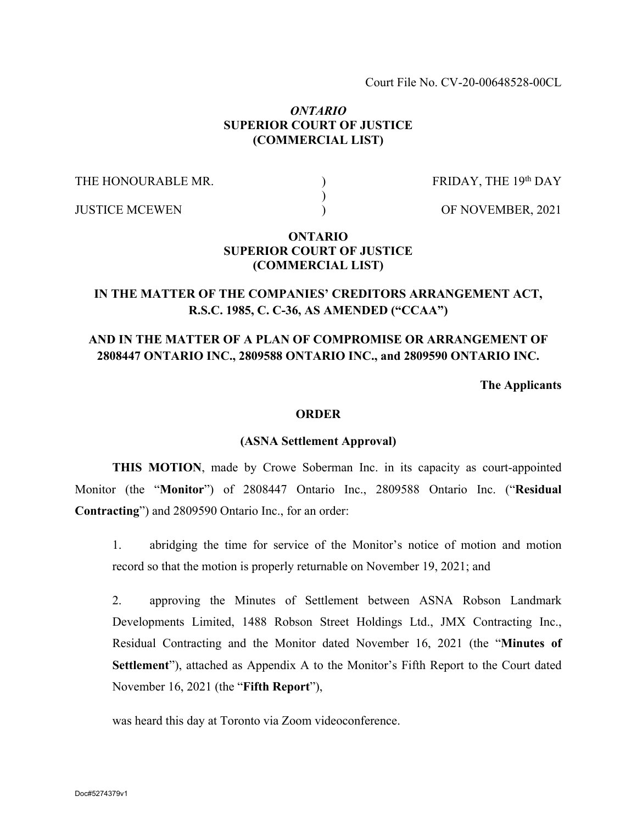Court File No. CV-20-00648528-00CL

# *ONTARIO* **SUPERIOR COURT OF JUSTICE (COMMERCIAL LIST)**

THE HONOURABLE MR.

) )

)

FRIDAY, THE 19th DAY

JUSTICE MCEWEN

OF NOVEMBER, 2021

## **ONTARIO SUPERIOR COURT OF JUSTICE (COMMERCIAL LIST)**

# **IN THE MATTER OF THE COMPANIES' CREDITORS ARRANGEMENT ACT, R.S.C. 1985, C. C-36, AS AMENDED ("CCAA")**

# **AND IN THE MATTER OF A PLAN OF COMPROMISE OR ARRANGEMENT OF 2808447 ONTARIO INC., 2809588 ONTARIO INC., and 2809590 ONTARIO INC.**

**The Applicants**

## **ORDER**

#### **(ASNA Settlement Approval)**

**THIS MOTION**, made by Crowe Soberman Inc. in its capacity as court-appointed Monitor (the "**Monitor**") of 2808447 Ontario Inc., 2809588 Ontario Inc. ("**Residual Contracting**") and 2809590 Ontario Inc., for an order:

1. abridging the time for service of the Monitor's notice of motion and motion record so that the motion is properly returnable on November 19, 2021; and

2. approving the Minutes of Settlement between ASNA Robson Landmark Developments Limited, 1488 Robson Street Holdings Ltd., JMX Contracting Inc., Residual Contracting and the Monitor dated November 16, 2021 (the "**Minutes of Settlement**"), attached as Appendix A to the Monitor's Fifth Report to the Court dated November 16, 2021 (the "**Fifth Report**"),

was heard this day at Toronto via Zoom videoconference.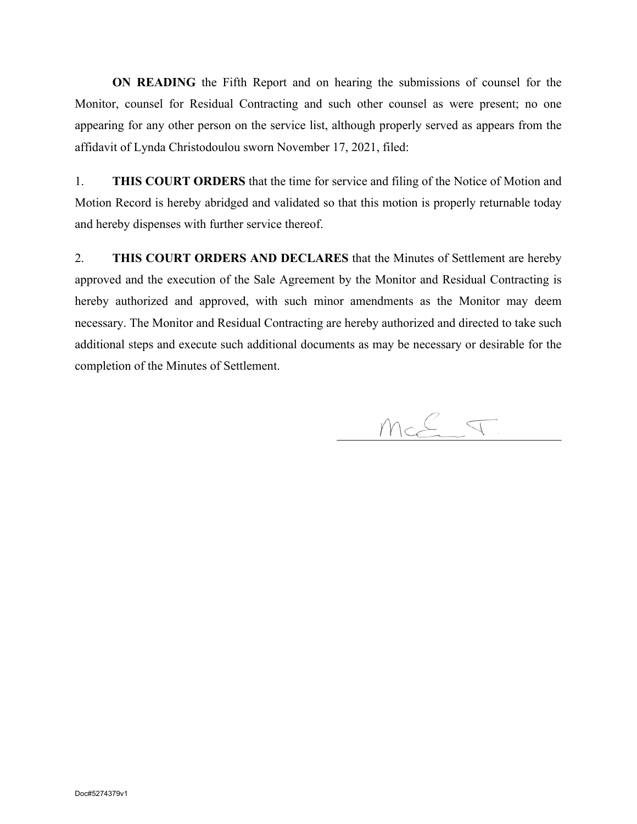**ON READING** the Fifth Report and on hearing the submissions of counsel for the Monitor, counsel for Residual Contracting and such other counsel as were present; no one appearing for any other person on the service list, although properly served as appears from the affidavit of Lynda Christodoulou sworn November 17, 2021, filed:

1. **THIS COURT ORDERS** that the time for service and filing of the Notice of Motion and Motion Record is hereby abridged and validated so that this motion is properly returnable today and hereby dispenses with further service thereof.

2. **THIS COURT ORDERS AND DECLARES** that the Minutes of Settlement are hereby approved and the execution of the Sale Agreement by the Monitor and Residual Contracting is hereby authorized and approved, with such minor amendments as the Monitor may deem necessary. The Monitor and Residual Contracting are hereby authorized and directed to take such additional steps and execute such additional documents as may be necessary or desirable for the completion of the Minutes of Settlement.

 $McE = T$